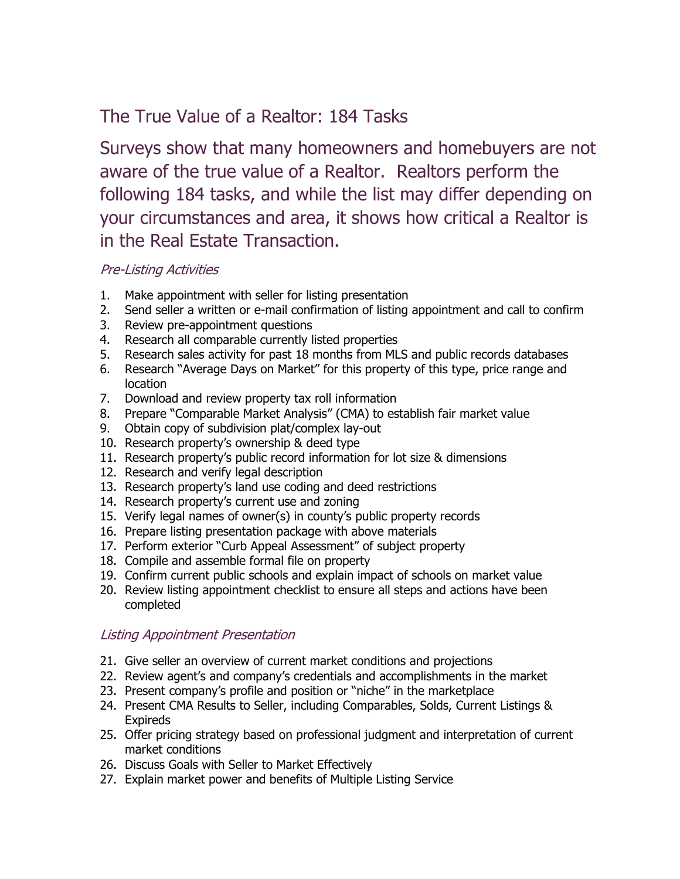# The True Value of a Realtor: 184 Tasks

Surveys show that many homeowners and homebuyers are not aware of the true value of a Realtor. Realtors perform the following 184 tasks, and while the list may differ depending on your circumstances and area, it shows how critical a Realtor is in the Real Estate Transaction.

## Pre-Listing Activities

- 1. Make appointment with seller for listing presentation
- 2. Send seller a written or e-mail confirmation of listing appointment and call to confirm
- 3. Review pre-appointment questions
- 4. Research all comparable currently listed properties
- 5. Research sales activity for past 18 months from MLS and public records databases
- 6. Research "Average Days on Market" for this property of this type, price range and location
- 7. Download and review property tax roll information
- 8. Prepare "Comparable Market Analysis" (CMA) to establish fair market value
- 9. Obtain copy of subdivision plat/complex lay-out
- 10. Research property's ownership & deed type
- 11. Research property's public record information for lot size & dimensions
- 12. Research and verify legal description
- 13. Research property's land use coding and deed restrictions
- 14. Research property's current use and zoning
- 15. Verify legal names of owner(s) in county's public property records
- 16. Prepare listing presentation package with above materials
- 17. Perform exterior "Curb Appeal Assessment" of subject property
- 18. Compile and assemble formal file on property
- 19. Confirm current public schools and explain impact of schools on market value
- 20. Review listing appointment checklist to ensure all steps and actions have been completed

### Listing Appointment Presentation

- 21. Give seller an overview of current market conditions and projections
- 22. Review agent's and company's credentials and accomplishments in the market
- 23. Present company's profile and position or "niche" in the marketplace
- 24. Present CMA Results to Seller, including Comparables, Solds, Current Listings & Expireds
- 25. Offer pricing strategy based on professional judgment and interpretation of current market conditions
- 26. Discuss Goals with Seller to Market Effectively
- 27. Explain market power and benefits of Multiple Listing Service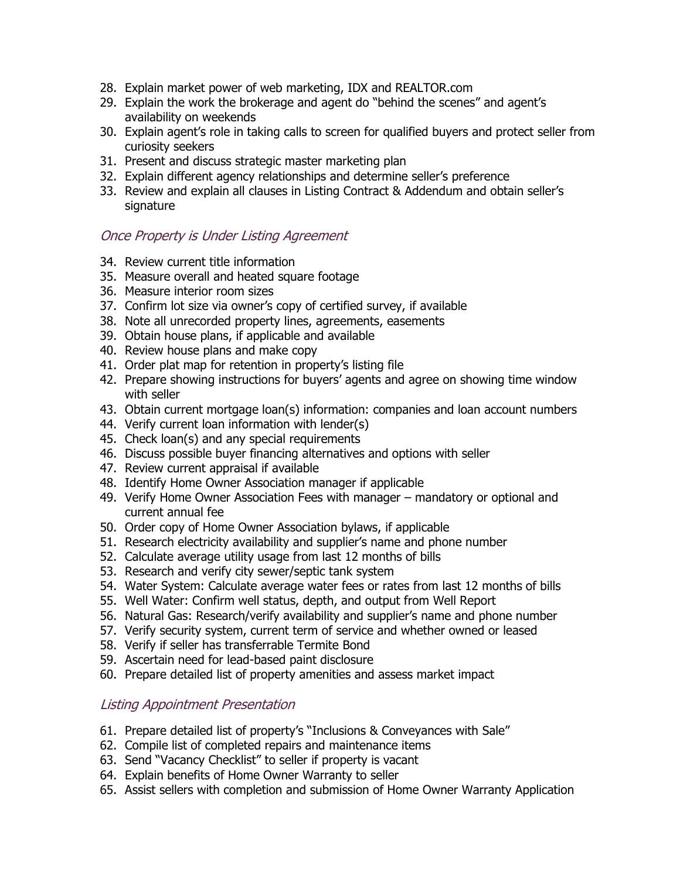- 28. Explain market power of web marketing, IDX and REALTOR.com
- 29. Explain the work the brokerage and agent do "behind the scenes" and agent's availability on weekends
- 30. Explain agent's role in taking calls to screen for qualified buyers and protect seller from curiosity seekers
- 31. Present and discuss strategic master marketing plan
- 32. Explain different agency relationships and determine seller's preference
- 33. Review and explain all clauses in Listing Contract & Addendum and obtain seller's signature

### Once Property is Under Listing Agreement

- 34. Review current title information
- 35. Measure overall and heated square footage
- 36. Measure interior room sizes
- 37. Confirm lot size via owner's copy of certified survey, if available
- 38. Note all unrecorded property lines, agreements, easements
- 39. Obtain house plans, if applicable and available
- 40. Review house plans and make copy
- 41. Order plat map for retention in property's listing file
- 42. Prepare showing instructions for buyers' agents and agree on showing time window with seller
- 43. Obtain current mortgage loan(s) information: companies and loan account numbers
- 44. Verify current loan information with lender(s)
- 45. Check loan(s) and any special requirements
- 46. Discuss possible buyer financing alternatives and options with seller
- 47. Review current appraisal if available
- 48. Identify Home Owner Association manager if applicable
- 49. Verify Home Owner Association Fees with manager mandatory or optional and current annual fee
- 50. Order copy of Home Owner Association bylaws, if applicable
- 51. Research electricity availability and supplier's name and phone number
- 52. Calculate average utility usage from last 12 months of bills
- 53. Research and verify city sewer/septic tank system
- 54. Water System: Calculate average water fees or rates from last 12 months of bills
- 55. Well Water: Confirm well status, depth, and output from Well Report
- 56. Natural Gas: Research/verify availability and supplier's name and phone number
- 57. Verify security system, current term of service and whether owned or leased
- 58. Verify if seller has transferrable Termite Bond
- 59. Ascertain need for lead-based paint disclosure
- 60. Prepare detailed list of property amenities and assess market impact

### Listing Appointment Presentation

- 61. Prepare detailed list of property's "Inclusions & Conveyances with Sale"
- 62. Compile list of completed repairs and maintenance items
- 63. Send "Vacancy Checklist" to seller if property is vacant
- 64. Explain benefits of Home Owner Warranty to seller
- 65. Assist sellers with completion and submission of Home Owner Warranty Application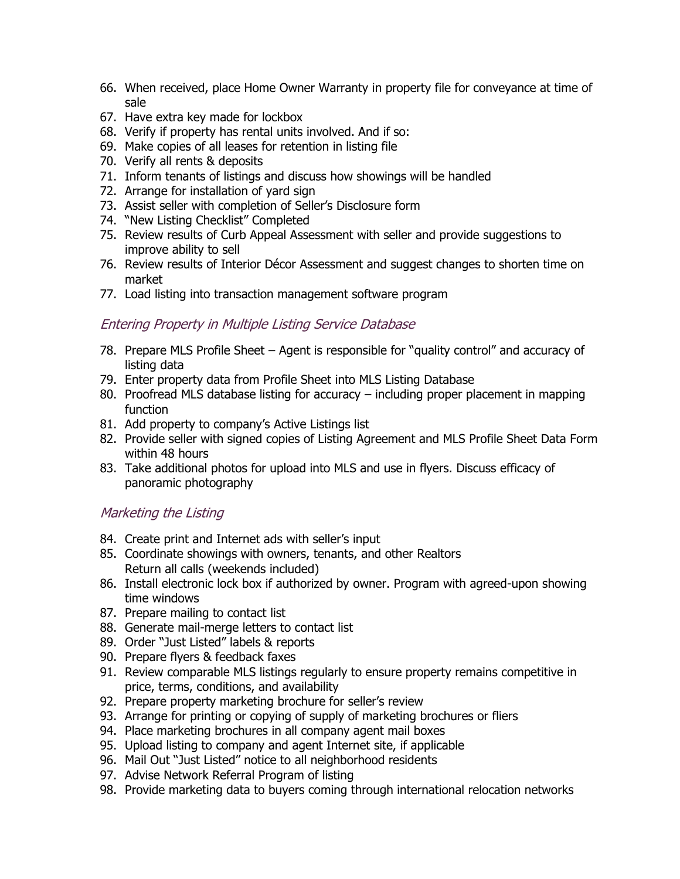- 66. When received, place Home Owner Warranty in property file for conveyance at time of sale
- 67. Have extra key made for lockbox
- 68. Verify if property has rental units involved. And if so:
- 69. Make copies of all leases for retention in listing file
- 70. Verify all rents & deposits
- 71. Inform tenants of listings and discuss how showings will be handled
- 72. Arrange for installation of yard sign
- 73. Assist seller with completion of Seller's Disclosure form
- 74. "New Listing Checklist" Completed
- 75. Review results of Curb Appeal Assessment with seller and provide suggestions to improve ability to sell
- 76. Review results of Interior Décor Assessment and suggest changes to shorten time on market
- 77. Load listing into transaction management software program

## Entering Property in Multiple Listing Service Database

- 78. Prepare MLS Profile Sheet Agent is responsible for "quality control" and accuracy of listing data
- 79. Enter property data from Profile Sheet into MLS Listing Database
- 80. Proofread MLS database listing for accuracy including proper placement in mapping function
- 81. Add property to company's Active Listings list
- 82. Provide seller with signed copies of Listing Agreement and MLS Profile Sheet Data Form within 48 hours
- 83. Take additional photos for upload into MLS and use in flyers. Discuss efficacy of panoramic photography

### Marketing the Listing

- 84. Create print and Internet ads with seller's input
- 85. Coordinate showings with owners, tenants, and other Realtors Return all calls (weekends included)
- 86. Install electronic lock box if authorized by owner. Program with agreed-upon showing time windows
- 87. Prepare mailing to contact list
- 88. Generate mail-merge letters to contact list
- 89. Order "Just Listed" labels & reports
- 90. Prepare flyers & feedback faxes
- 91. Review comparable MLS listings regularly to ensure property remains competitive in price, terms, conditions, and availability
- 92. Prepare property marketing brochure for seller's review
- 93. Arrange for printing or copying of supply of marketing brochures or fliers
- 94. Place marketing brochures in all company agent mail boxes
- 95. Upload listing to company and agent Internet site, if applicable
- 96. Mail Out "Just Listed" notice to all neighborhood residents
- 97. Advise Network Referral Program of listing
- 98. Provide marketing data to buyers coming through international relocation networks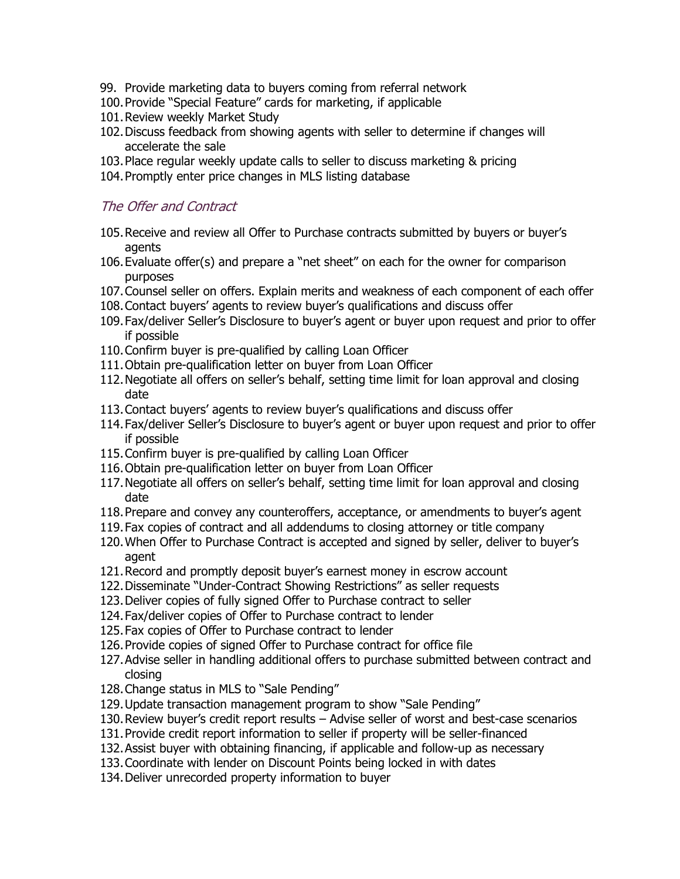- 99. Provide marketing data to buyers coming from referral network
- 100.Provide "Special Feature" cards for marketing, if applicable
- 101.Review weekly Market Study
- 102.Discuss feedback from showing agents with seller to determine if changes will accelerate the sale
- 103.Place regular weekly update calls to seller to discuss marketing & pricing
- 104.Promptly enter price changes in MLS listing database

#### The Offer and Contract

- 105.Receive and review all Offer to Purchase contracts submitted by buyers or buyer's agents
- 106.Evaluate offer(s) and prepare a "net sheet" on each for the owner for comparison purposes
- 107.Counsel seller on offers. Explain merits and weakness of each component of each offer
- 108.Contact buyers' agents to review buyer's qualifications and discuss offer
- 109.Fax/deliver Seller's Disclosure to buyer's agent or buyer upon request and prior to offer if possible
- 110.Confirm buyer is pre-qualified by calling Loan Officer
- 111.Obtain pre-qualification letter on buyer from Loan Officer
- 112.Negotiate all offers on seller's behalf, setting time limit for loan approval and closing date
- 113.Contact buyers' agents to review buyer's qualifications and discuss offer
- 114.Fax/deliver Seller's Disclosure to buyer's agent or buyer upon request and prior to offer if possible
- 115.Confirm buyer is pre-qualified by calling Loan Officer
- 116.Obtain pre-qualification letter on buyer from Loan Officer
- 117.Negotiate all offers on seller's behalf, setting time limit for loan approval and closing date
- 118.Prepare and convey any counteroffers, acceptance, or amendments to buyer's agent
- 119.Fax copies of contract and all addendums to closing attorney or title company
- 120.When Offer to Purchase Contract is accepted and signed by seller, deliver to buyer's agent
- 121.Record and promptly deposit buyer's earnest money in escrow account
- 122.Disseminate "Under-Contract Showing Restrictions" as seller requests
- 123.Deliver copies of fully signed Offer to Purchase contract to seller
- 124.Fax/deliver copies of Offer to Purchase contract to lender
- 125.Fax copies of Offer to Purchase contract to lender
- 126.Provide copies of signed Offer to Purchase contract for office file
- 127.Advise seller in handling additional offers to purchase submitted between contract and closing
- 128.Change status in MLS to "Sale Pending"
- 129.Update transaction management program to show "Sale Pending"
- 130.Review buyer's credit report results Advise seller of worst and best-case scenarios
- 131.Provide credit report information to seller if property will be seller-financed
- 132.Assist buyer with obtaining financing, if applicable and follow-up as necessary
- 133.Coordinate with lender on Discount Points being locked in with dates
- 134.Deliver unrecorded property information to buyer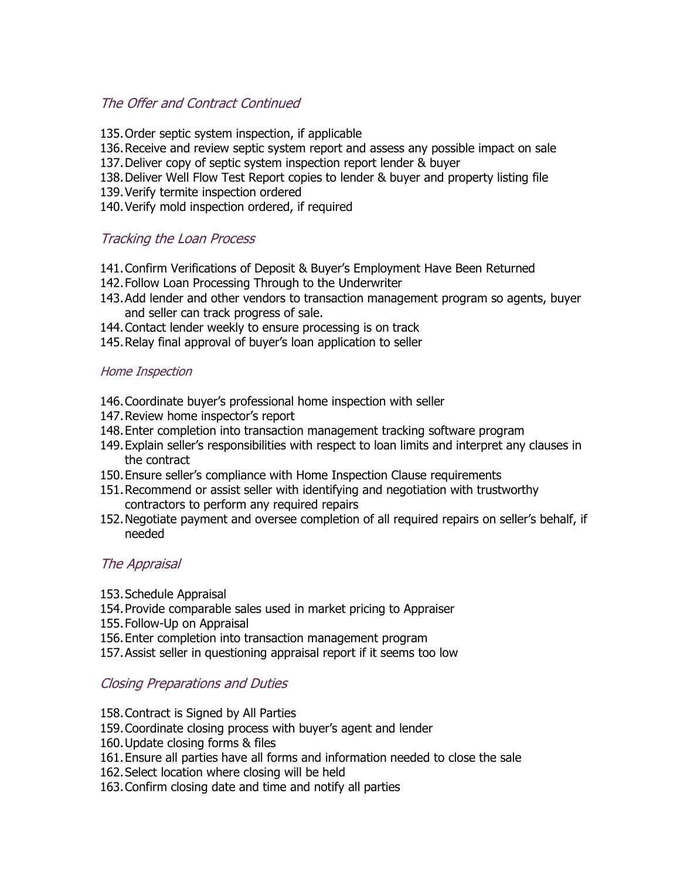## The Offer and Contract Continued

- 135.Order septic system inspection, if applicable
- 136.Receive and review septic system report and assess any possible impact on sale
- 137.Deliver copy of septic system inspection report lender & buyer
- 138.Deliver Well Flow Test Report copies to lender & buyer and property listing file
- 139.Verify termite inspection ordered
- 140.Verify mold inspection ordered, if required

## Tracking the Loan Process

- 141.Confirm Verifications of Deposit & Buyer's Employment Have Been Returned
- 142.Follow Loan Processing Through to the Underwriter
- 143.Add lender and other vendors to transaction management program so agents, buyer and seller can track progress of sale.
- 144.Contact lender weekly to ensure processing is on track
- 145.Relay final approval of buyer's loan application to seller

#### Home Inspection

- 146.Coordinate buyer's professional home inspection with seller
- 147.Review home inspector's report
- 148.Enter completion into transaction management tracking software program
- 149.Explain seller's responsibilities with respect to loan limits and interpret any clauses in the contract
- 150.Ensure seller's compliance with Home Inspection Clause requirements
- 151.Recommend or assist seller with identifying and negotiation with trustworthy contractors to perform any required repairs
- 152.Negotiate payment and oversee completion of all required repairs on seller's behalf, if needed

### The Appraisal

- 153.Schedule Appraisal
- 154.Provide comparable sales used in market pricing to Appraiser
- 155.Follow-Up on Appraisal
- 156.Enter completion into transaction management program
- 157.Assist seller in questioning appraisal report if it seems too low

### Closing Preparations and Duties

- 158.Contract is Signed by All Parties
- 159.Coordinate closing process with buyer's agent and lender
- 160.Update closing forms & files
- 161.Ensure all parties have all forms and information needed to close the sale
- 162.Select location where closing will be held
- 163.Confirm closing date and time and notify all parties